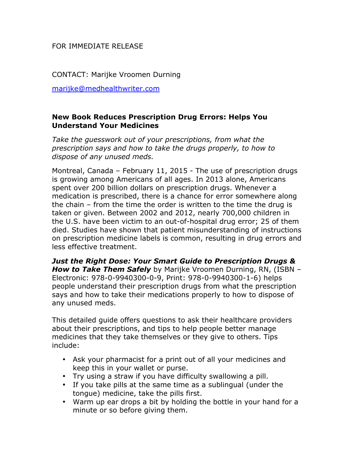## FOR IMMEDIATE RELEASE

CONTACT: Marijke Vroomen Durning

marijke@medhealthwriter.com

## **New Book Reduces Prescription Drug Errors: Helps You Understand Your Medicines**

*Take the guesswork out of your prescriptions, from what the prescription says and how to take the drugs properly, to how to dispose of any unused meds.*

Montreal, Canada – February 11, 2015 - The use of prescription drugs is growing among Americans of all ages. In 2013 alone, Americans spent over 200 billion dollars on prescription drugs. Whenever a medication is prescribed, there is a chance for error somewhere along the chain – from the time the order is written to the time the drug is taken or given. Between 2002 and 2012, nearly 700,000 children in the U.S. have been victim to an out-of-hospital drug error; 25 of them died. Studies have shown that patient misunderstanding of instructions on prescription medicine labels is common, resulting in drug errors and less effective treatment.

*Just the Right Dose: Your Smart Guide to Prescription Drugs & How to Take Them Safely* by Marijke Vroomen Durning, RN, (ISBN – Electronic: 978-0-9940300-0-9, Print: 978-0-9940300-1-6) helps people understand their prescription drugs from what the prescription says and how to take their medications properly to how to dispose of any unused meds.

This detailed guide offers questions to ask their healthcare providers about their prescriptions, and tips to help people better manage medicines that they take themselves or they give to others. Tips include:

- Ask your pharmacist for a print out of all your medicines and keep this in your wallet or purse.
- Try using a straw if you have difficulty swallowing a pill.
- If you take pills at the same time as a sublingual (under the tongue) medicine, take the pills first.
- Warm up ear drops a bit by holding the bottle in your hand for a minute or so before giving them.